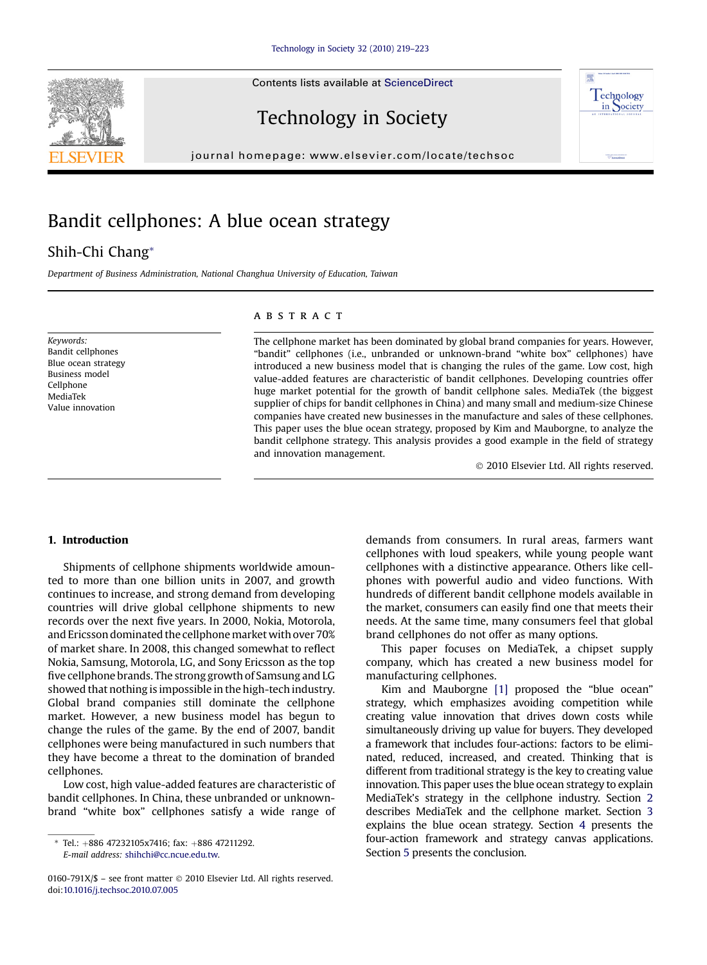



# Technology in Society

 $j$ 

# Bandit cellphones: A blue ocean strategy

### Shih-Chi Chang\*

Department of Business Administration, National Changhua University of Education, Taiwan

Keywords: Bandit cellphones Blue ocean strategy Business model Cellphone MediaTek Value innovation

#### **ABSTRACT**

The cellphone market has been dominated by global brand companies for years. However, "bandit" cellphones (i.e., unbranded or unknown-brand "white box" cellphones) have introduced a new business model that is changing the rules of the game. Low cost, high value-added features are characteristic of bandit cellphones. Developing countries offer huge market potential for the growth of bandit cellphone sales. MediaTek (the biggest supplier of chips for bandit cellphones in China) and many small and medium-size Chinese companies have created new businesses in the manufacture and sales of these cellphones. This paper uses the blue ocean strategy, proposed by Kim and Mauborgne, to analyze the bandit cellphone strategy. This analysis provides a good example in the field of strategy and innovation management.

2010 Elsevier Ltd. All rights reserved.

#### 1. Introduction

Shipments of cellphone shipments worldwide amounted to more than one billion units in 2007, and growth continues to increase, and strong demand from developing countries will drive global cellphone shipments to new records over the next five years. In 2000, Nokia, Motorola, and Ericsson dominated the cellphonemarket with over 70% of market share. In 2008, this changed somewhat to reflect Nokia, Samsung, Motorola, LG, and Sony Ericsson as the top five cellphone brands. The strong growth of Samsung and LG showed that nothing is impossible in the high-tech industry. Global brand companies still dominate the cellphone market. However, a new business model has begun to change the rules of the game. By the end of 2007, bandit cellphones were being manufactured in such numbers that they have become a threat to the domination of branded cellphones.

Low cost, high value-added features are characteristic of bandit cellphones. In China, these unbranded or unknownbrand "white box" cellphones satisfy a wide range of

tel.: +886 4723210[5](#page--1-0)x7416; fax: +886 47211292.<br>F-mail address: shihchi@cc ncue edu tw E-mail address: [shihchi@cc.ncue.edu.tw.](mailto:shihchi@cc.ncue.edu.tw)

demands from consumers. In rural areas, farmers want cellphones with loud speakers, while young people want cellphones with a distinctive appearance. Others like cellphones with powerful audio and video functions. With hundreds of different bandit cellphone models available in the market, consumers can easily find one that meets their needs. At the same time, many consumers feel that global brand cellphones do not offer as many options.

This paper focuses on MediaTek, a chipset supply company, which has created a new business model for manufacturing cellphones.

Kim and Mauborgne [\[1\]](#page--1-0) proposed the "blue ocean" strategy, which emphasizes avoiding competition while creating value innovation that drives down costs while simultaneously driving up value for buyers. They developed a framework that includes four-actions: factors to be eliminated, reduced, increased, and created. Thinking that is different from traditional strategy is the key to creating value innovation. This paper uses the blue ocean strategy to explain MediaTek's strategy in the cellphone industry. Section [2](#page-1-0) describes MediaTek and the cellphone market. Section [3](#page-1-0) explains the blue ocean strategy. Section [4](#page--1-0) presents the four-action framework and strategy canvas applications.

<sup>0160-791</sup>X/\$ - see front matter © 2010 Elsevier Ltd. All rights reserved. doi:[10.1016/j.techsoc.2010.07.005](http://dx.doi.org/10.1016/j.techsoc.2010.07.005)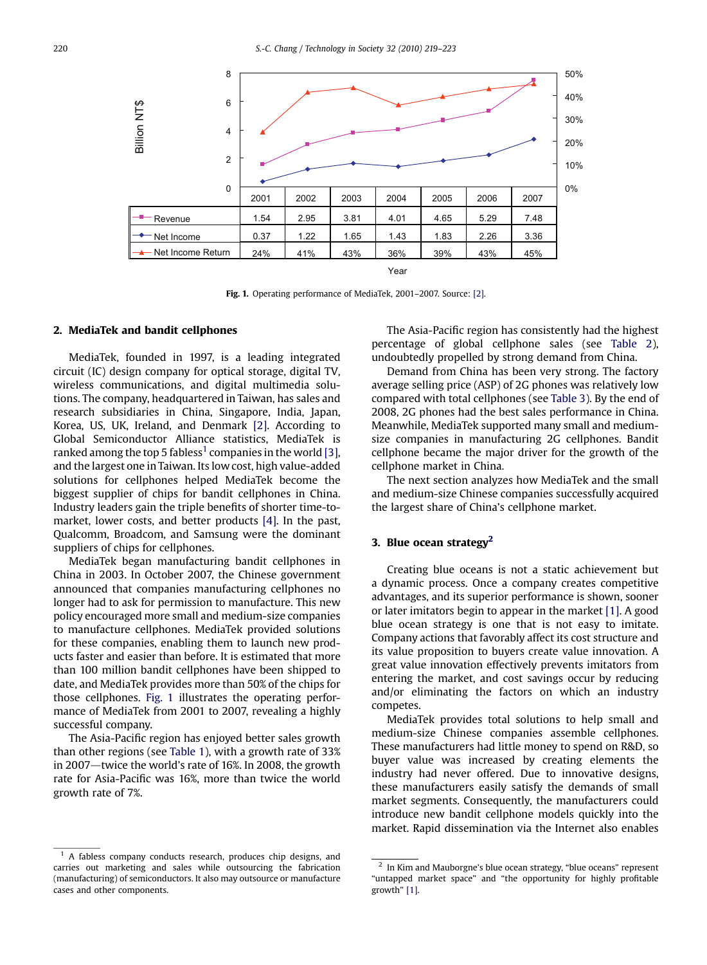<span id="page-1-0"></span>

Fig. 1. Operating performance of MediaTek, 2001–2007. Source: [\[2\].](#page--1-0)

#### 2. MediaTek and bandit cellphones

MediaTek, founded in 1997, is a leading integrated circuit (IC) design company for optical storage, digital TV, wireless communications, and digital multimedia solutions. The company, headquartered in Taiwan, has sales and research subsidiaries in China, Singapore, India, Japan, Korea, US, UK, Ireland, and Denmark [\[2\].](#page--1-0) According to Global Semiconductor Alliance statistics, MediaTek is ranked among the top 5 fabless<sup>1</sup> companies in the world [\[3\]](#page--1-0), and the largest one in Taiwan. Its low cost, high value-added solutions for cellphones helped MediaTek become the biggest supplier of chips for bandit cellphones in China. Industry leaders gain the triple benefits of shorter time-tomarket, lower costs, and better products [\[4\].](#page--1-0) In the past, Qualcomm, Broadcom, and Samsung were the dominant suppliers of chips for cellphones.

MediaTek began manufacturing bandit cellphones in China in 2003. In October 2007, the Chinese government announced that companies manufacturing cellphones no longer had to ask for permission to manufacture. This new policy encouraged more small and medium-size companies to manufacture cellphones. MediaTek provided solutions for these companies, enabling them to launch new products faster and easier than before. It is estimated that more than 100 million bandit cellphones have been shipped to date, and MediaTek provides more than 50% of the chips for those cellphones. Fig. 1 illustrates the operating performance of MediaTek from 2001 to 2007, revealing a highly successful company.

The Asia-Pacific region has enjoyed better sales growth than other regions (see [Table 1\)](#page--1-0), with a growth rate of 33% in 2007 $-$ twice the world's rate of 16%. In 2008, the growth rate for Asia-Pacific was 16%, more than twice the world growth rate of 7%.

<sup>1</sup> A fabless company conducts research, produces chip designs, and carries out marketing and sales while outsourcing the fabrication (manufacturing) of semiconductors. It also may outsource or manufacture cases and other components.

The Asia-Pacific region has consistently had the highest percentage of global cellphone sales (see [Table 2](#page--1-0)), undoubtedly propelled by strong demand from China.

Demand from China has been very strong. The factory average selling price (ASP) of 2G phones was relatively low compared with total cellphones (see [Table 3](#page--1-0)). By the end of 2008, 2G phones had the best sales performance in China. Meanwhile, MediaTek supported many small and mediumsize companies in manufacturing 2G cellphones. Bandit cellphone became the major driver for the growth of the cellphone market in China.

The next section analyzes how MediaTek and the small and medium-size Chinese companies successfully acquired the largest share of China's cellphone market.

#### 3. Blue ocean strategy $^2$

Creating blue oceans is not a static achievement but a dynamic process. Once a company creates competitive advantages, and its superior performance is shown, sooner or later imitators begin to appear in the market [\[1\]](#page--1-0). A good blue ocean strategy is one that is not easy to imitate. Company actions that favorably affect its cost structure and its value proposition to buyers create value innovation. A great value innovation effectively prevents imitators from entering the market, and cost savings occur by reducing and/or eliminating the factors on which an industry competes.

MediaTek provides total solutions to help small and medium-size Chinese companies assemble cellphones. These manufacturers had little money to spend on R&D, so buyer value was increased by creating elements the industry had never offered. Due to innovative designs, these manufacturers easily satisfy the demands of small market segments. Consequently, the manufacturers could introduce new bandit cellphone models quickly into the market. Rapid dissemination via the Internet also enables

 $^{\rm 2}$  In Kim and Mauborgne's blue ocean strategy, "blue oceans" represent "untapped market space" and "the opportunity for highly profitable growth" [\[1\].](#page--1-0)